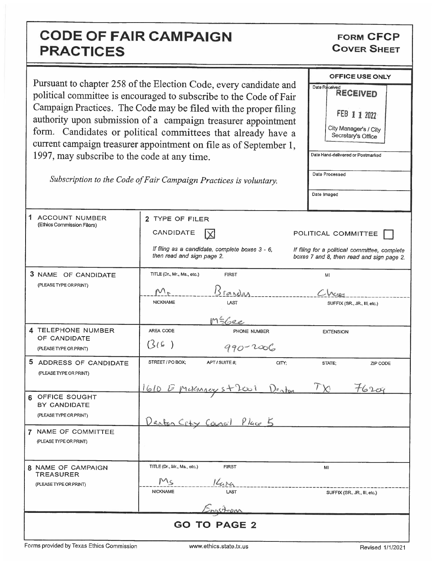## CODE OF FAIR CAMPAIGN PRACTICES

FORM CFCP COVER SHEET

|                                                                                                                                                                                                                                                                                                                                                                                                                   |                                                                               | <b>OFFICE USE ONLY</b>                                                                     |
|-------------------------------------------------------------------------------------------------------------------------------------------------------------------------------------------------------------------------------------------------------------------------------------------------------------------------------------------------------------------------------------------------------------------|-------------------------------------------------------------------------------|--------------------------------------------------------------------------------------------|
| Pursuant to chapter 258 of the Election Code, every candidate and<br>political committee is encouraged to subscribe to the Code of Fair<br>Campaign Practices. The Code may be filed with the proper filing<br>authority upon submission of a campaign treasurer appointment<br>form. Candidates or political committees that already have a<br>current campaign treasurer appointment on file as of September 1, |                                                                               | Date Received<br><b>RECEIVED</b>                                                           |
|                                                                                                                                                                                                                                                                                                                                                                                                                   |                                                                               | FEB 1 1 2022                                                                               |
|                                                                                                                                                                                                                                                                                                                                                                                                                   |                                                                               | City Manager's / City<br>Secretary's Office                                                |
| 1997, may subscribe to the code at any time.                                                                                                                                                                                                                                                                                                                                                                      |                                                                               | Date Hand-delivered or Postmarked                                                          |
| Subscription to the Code of Fair Campaign Practices is voluntary.                                                                                                                                                                                                                                                                                                                                                 |                                                                               | Date Processed                                                                             |
|                                                                                                                                                                                                                                                                                                                                                                                                                   |                                                                               | Date Imaged                                                                                |
| 1 ACCOUNT NUMBER                                                                                                                                                                                                                                                                                                                                                                                                  | 2 TYPE OF FILER                                                               |                                                                                            |
| (Ethics Commission Filers)                                                                                                                                                                                                                                                                                                                                                                                        | CANDIDATE                                                                     | POLITICAL COMMITTEE                                                                        |
|                                                                                                                                                                                                                                                                                                                                                                                                                   | If filing as a candidate, complete boxes 3 - 6,<br>then read and sign page 2. | If filing for a political committee, complete<br>boxes 7 and 8, then read and sign page 2. |
| 3 NAME OF CANDIDATE<br>(PLEASE TYPE OR PRINT)                                                                                                                                                                                                                                                                                                                                                                     | TITLE (Dr., Mr., Ms., etc.)<br><b>FIRST</b>                                   | MI                                                                                         |
|                                                                                                                                                                                                                                                                                                                                                                                                                   | Brandas<br>$M_{r}$                                                            |                                                                                            |
|                                                                                                                                                                                                                                                                                                                                                                                                                   | <b>NICKNAME</b><br>LAST<br>MS6ee                                              | SUFFIX (SR., JR., III, etc.)                                                               |
| 4 TELEPHONE NUMBER                                                                                                                                                                                                                                                                                                                                                                                                | AREA CODE<br>PHONE NUMBER                                                     | <b>EXTENSION</b>                                                                           |
| OF CANDIDATE<br>(PLEASE TYPE OR PRINT)                                                                                                                                                                                                                                                                                                                                                                            | (3(6))<br>$990 - 2006$                                                        |                                                                                            |
| 5 ADDRESS OF CANDIDATE<br>(PLEASE TYPE OR PRINT)                                                                                                                                                                                                                                                                                                                                                                  | STREET / PO BOX;<br>APT / SUITE #;<br>CITY:                                   | STATE;<br>ZIP CODE                                                                         |
|                                                                                                                                                                                                                                                                                                                                                                                                                   | 1610 E Millingers + 2001 Denten                                               | $+6200$                                                                                    |
| OFFICE SOUGHT<br>BY CANDIDATE                                                                                                                                                                                                                                                                                                                                                                                     |                                                                               |                                                                                            |
| (PLEASE TYPE OR PRINT)                                                                                                                                                                                                                                                                                                                                                                                            | <u>Denton City Cancil Place 5</u>                                             |                                                                                            |
| 7 NAME OF COMMITTEE<br>(PLEASE TYPE OR PRINT)                                                                                                                                                                                                                                                                                                                                                                     |                                                                               |                                                                                            |
| 8 NAME OF CAMPAIGN<br><b>TREASURER</b>                                                                                                                                                                                                                                                                                                                                                                            | TITLE (Dr., Mr., Ms., etc.)<br><b>FIRST</b>                                   | MI                                                                                         |
| (PLEASE TYPE OR PRINT)                                                                                                                                                                                                                                                                                                                                                                                            | Ms<br>14<br><b>NICKNAME</b><br>LAST                                           | SUFFIX (SR., JR., III, etc.)                                                               |
|                                                                                                                                                                                                                                                                                                                                                                                                                   | Ingstrom                                                                      |                                                                                            |
| <b>GO TO PAGE 2</b>                                                                                                                                                                                                                                                                                                                                                                                               |                                                                               |                                                                                            |

Forms provided by Texas Ethics Commission www.ethics.state.tx.us Revised 1/1/2021